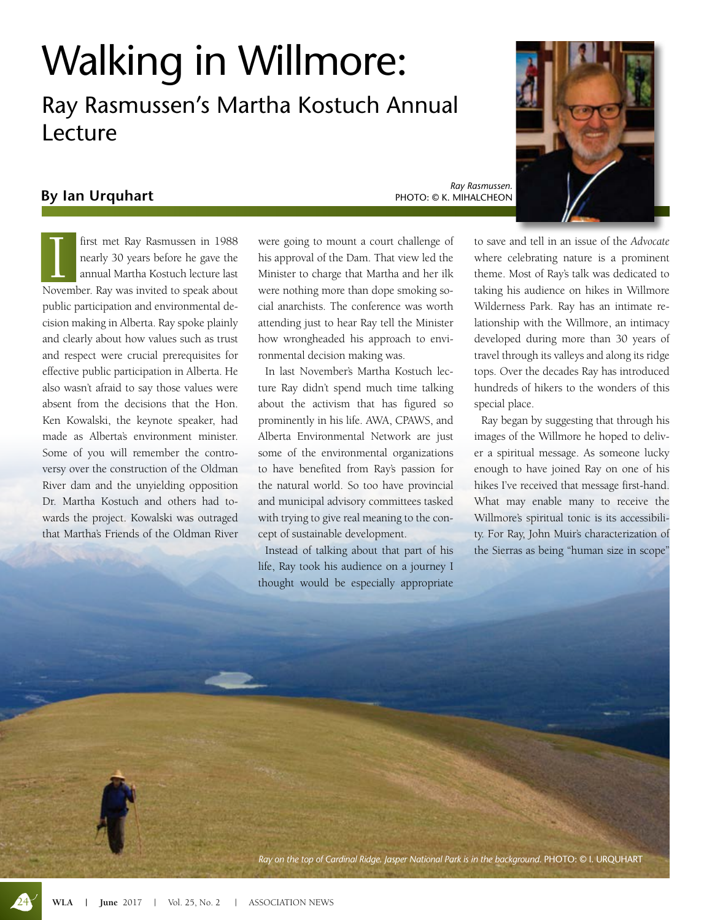## Walking in Willmore:

Ray Rasmussen's Martha Kostuch Annual Lecture

## **By Ian Urquhart**

*Ray Rasmussen.*  PHOTO: © K. MIHALCHEON

*Ray on the top of Cardinal Ridge. Jasper National Park is in the background.* PHOTO: © I. URQUHART

I first met Ray Rasmussen in 1988<br>
nearly 30 years before he gave the<br>
annual Martha Kostuch lecture last<br>
November. Ray was invited to speak about first met Ray Rasmussen in 1988 nearly 30 years before he gave the annual Martha Kostuch lecture last public participation and environmental decision making in Alberta. Ray spoke plainly and clearly about how values such as trust and respect were crucial prerequisites for effective public participation in Alberta. He also wasn't afraid to say those values were absent from the decisions that the Hon. Ken Kowalski, the keynote speaker, had made as Alberta's environment minister. Some of you will remember the controversy over the construction of the Oldman River dam and the unyielding opposition Dr. Martha Kostuch and others had towards the project. Kowalski was outraged that Martha's Friends of the Oldman River

were going to mount a court challenge of his approval of the Dam. That view led the Minister to charge that Martha and her ilk were nothing more than dope smoking social anarchists. The conference was worth attending just to hear Ray tell the Minister how wrongheaded his approach to environmental decision making was.

In last November's Martha Kostuch lecture Ray didn't spend much time talking about the activism that has figured so prominently in his life. AWA, CPAWS, and Alberta Environmental Network are just some of the environmental organizations to have benefited from Ray's passion for the natural world. So too have provincial and municipal advisory committees tasked with trying to give real meaning to the concept of sustainable development.

Instead of talking about that part of his life, Ray took his audience on a journey I thought would be especially appropriate to save and tell in an issue of the *Advocate* where celebrating nature is a prominent theme. Most of Ray's talk was dedicated to taking his audience on hikes in Willmore Wilderness Park. Ray has an intimate relationship with the Willmore, an intimacy developed during more than 30 years of travel through its valleys and along its ridge tops. Over the decades Ray has introduced hundreds of hikers to the wonders of this special place.

Ray began by suggesting that through his images of the Willmore he hoped to deliver a spiritual message. As someone lucky enough to have joined Ray on one of his hikes I've received that message first-hand. What may enable many to receive the Willmore's spiritual tonic is its accessibility. For Ray, John Muir's characterization of the Sierras as being "human size in scope"